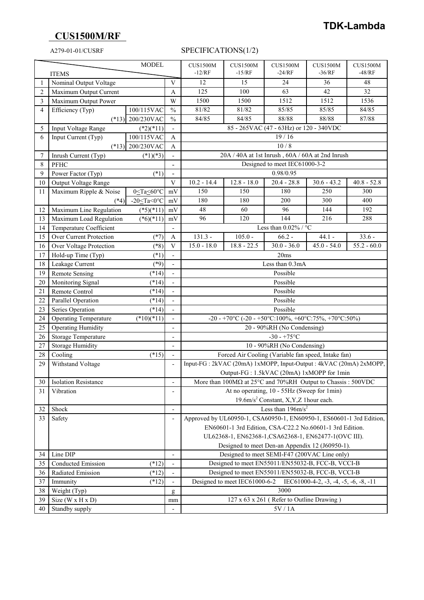## **CUS1500M/RF**

## A279-01-01/CUSRF SPECIFICATIONS(1/2)

| <b>MODEL</b>   |                                              |                   |                              | <b>CUS1500M</b>                                                                                                                  | <b>CUS1500M</b>                         | <b>CUS1500M</b>                                                                               | <b>CUS1500M</b> | <b>CUS1500M</b> |
|----------------|----------------------------------------------|-------------------|------------------------------|----------------------------------------------------------------------------------------------------------------------------------|-----------------------------------------|-----------------------------------------------------------------------------------------------|-----------------|-----------------|
| <b>ITEMS</b>   |                                              |                   |                              | $-12/RF$                                                                                                                         | $-15/RF$                                | $-24/RF$                                                                                      | $-36/RF$        | $-48/RF$        |
|                | Nominal Output Voltage                       |                   | V                            | 12                                                                                                                               | 15                                      | 24                                                                                            | 36              | 48              |
| $\overline{2}$ | Maximum Output Current                       |                   | Α                            | 125                                                                                                                              | 100                                     | 63                                                                                            | 42              | 32              |
| 3              | Maximum Output Power                         |                   | W                            | 1500                                                                                                                             | 1500                                    | 1512                                                                                          | 1512            | 1536            |
| $\overline{4}$ | Efficiency (Typ)                             | 100/115VAC        | $\frac{0}{0}$                | 81/82                                                                                                                            | 81/82                                   | 85/85                                                                                         | 85/85           | 84/85           |
|                | $(*13)$                                      | 200/230VAC        | $\frac{0}{0}$                | 84/85                                                                                                                            | 84/85                                   | 88/88                                                                                         | 88/88           | 87/88           |
| 5              | Input Voltage Range                          | $(*2)(*11)$       |                              |                                                                                                                                  | 85 - 265VAC (47 - 63Hz) or 120 - 340VDC |                                                                                               |                 |                 |
| 6              | Input Current (Typ)                          | 100/115VAC        | $\mathbf{A}$                 |                                                                                                                                  |                                         | 19/16                                                                                         |                 |                 |
|                | $(*13)$                                      | 200/230VAC        | A                            | 10/8                                                                                                                             |                                         |                                                                                               |                 |                 |
| 7              | Inrush Current (Typ)                         | $(*1)(*3)$        |                              |                                                                                                                                  |                                         | $20\mathrm{A}$ / $40\mathrm{A}$ at 1st Inrush , $60\mathrm{A}$ / $60\mathrm{A}$ at 2nd Inrush |                 |                 |
| 8              | PFHC                                         |                   | $\qquad \qquad \blacksquare$ |                                                                                                                                  |                                         | Designed to meet IEC61000-3-2                                                                 |                 |                 |
| 9              | Power Factor (Typ)                           | $(*1)$            | $\qquad \qquad \blacksquare$ |                                                                                                                                  |                                         | 0.98/0.95                                                                                     |                 |                 |
| 10             | Output Voltage Range                         |                   | V                            | $10.2 - 14.4$                                                                                                                    | $12.8 - 18.0$                           | $20.4 - 28.8$                                                                                 | $30.6 - 43.2$   | $40.8 - 52.8$   |
| 11             | Maximum Ripple & Noise                       | 0≤Ta≤60°C         | mV                           | 150                                                                                                                              | 150                                     | 180                                                                                           | 250             | 300             |
|                | $(*4)$                                       | -20 $\leq$ Ta<0°C | mV                           | 180                                                                                                                              | 180                                     | 200                                                                                           | 300             | 400             |
| 12             | Maximum Line Regulation                      | $(*5)(*11)$       | mV                           | 48                                                                                                                               | 60                                      | 96                                                                                            | 144             | 192             |
| 13             | Maximum Load Regulation                      | $(*6)(*11)$       | mV                           | 96                                                                                                                               | 120                                     | 144                                                                                           | 216             | 288             |
| 14             | Temperature Coefficient                      |                   |                              |                                                                                                                                  |                                         | Less than $0.02\%$ / $^{\circ}$ C                                                             |                 |                 |
| 15             | Over Current Protection                      | $(*7)$            | A                            | $131.3 -$                                                                                                                        | $105.0 -$                               | $66.2 -$                                                                                      | $44.1 -$        | $33.6 -$        |
| 16             | Over Voltage Protection                      | $(*8)$            | V                            | $15.0 - 18.0$                                                                                                                    | $18.8 - 22.5$                           | $30.0 - 36.0$                                                                                 | $45.0 - 54.0$   | $55.2 - 60.0$   |
| 17             | Hold-up Time (Typ)                           | $(*1)$            |                              |                                                                                                                                  |                                         | 20ms                                                                                          |                 |                 |
| 18             | Leakage Current                              | $(*9)$            |                              |                                                                                                                                  |                                         | Less than 0.3mA                                                                               |                 |                 |
| 19             | <b>Remote Sensing</b>                        | $(*14)$           |                              |                                                                                                                                  |                                         | Possible                                                                                      |                 |                 |
| 20             | Monitoring Signal                            | $(*14)$           |                              | Possible                                                                                                                         |                                         |                                                                                               |                 |                 |
| 21             | Remote Control                               | $(*14)$           |                              | Possible                                                                                                                         |                                         |                                                                                               |                 |                 |
| 22             | Parallel Operation                           | $(*14)$           |                              | Possible                                                                                                                         |                                         |                                                                                               |                 |                 |
| 23             | Series Operation                             | $(*14)$           |                              | Possible                                                                                                                         |                                         |                                                                                               |                 |                 |
| 24             | <b>Operating Temperature</b><br>$(*10)(*11)$ |                   |                              |                                                                                                                                  |                                         | -20 - +70°C (-20 - +50°C:100%, +60°C:75%, +70°C:50%)                                          |                 |                 |
| 25             | <b>Operating Humidity</b>                    |                   | $\overline{a}$               |                                                                                                                                  |                                         | 20 - 90%RH (No Condensing)                                                                    |                 |                 |
| 26             | Storage Temperature                          |                   |                              | $-30 - +75$ °C                                                                                                                   |                                         |                                                                                               |                 |                 |
| 27             | <b>Storage Humidity</b>                      |                   |                              |                                                                                                                                  |                                         | 10 - 90%RH (No Condensing)                                                                    |                 |                 |
| 28             | Cooling<br>$(*15)$                           |                   |                              | Forced Air Cooling (Variable fan speed, Intake fan)                                                                              |                                         |                                                                                               |                 |                 |
| 29             | Withstand Voltage                            |                   |                              | Input-FG: 2kVAC (20mA) 1xMOPP, Input-Output: 4kVAC (20mA) 2xMOPP,                                                                |                                         |                                                                                               |                 |                 |
|                |                                              |                   |                              | Output-FG: 1.5kVAC (20mA) 1xMOPP for 1min                                                                                        |                                         |                                                                                               |                 |                 |
| 30             | Isolation Resistance                         |                   | -                            | More than 100MΩ at 25°C and 70%RH Output to Chassis: 500VDC                                                                      |                                         |                                                                                               |                 |                 |
| 31             | Vibration                                    |                   | $\overline{a}$               | At no operating, 10 - 55Hz (Sweep for 1min)                                                                                      |                                         |                                                                                               |                 |                 |
|                |                                              |                   | $\overline{a}$               |                                                                                                                                  |                                         | 19.6m/s <sup>2</sup> Constant, X, Y, Z 1 hour each.                                           |                 |                 |
| 32             | Shock<br>Safety                              |                   |                              | Less than $196 \text{m/s}^2$                                                                                                     |                                         |                                                                                               |                 |                 |
| 33             |                                              |                   | $\overline{a}$               | Approved by UL60950-1, CSA60950-1, EN60950-1, ES60601-1 3rd Edition,<br>EN60601-1 3rd Edition, CSA-C22.2 No.60601-1 3rd Edition. |                                         |                                                                                               |                 |                 |
|                |                                              |                   |                              |                                                                                                                                  |                                         |                                                                                               |                 |                 |
|                |                                              |                   |                              | UL62368-1, EN62368-1, CSA62368-1, EN62477-1(OVC III).                                                                            |                                         |                                                                                               |                 |                 |
|                |                                              |                   |                              | Designed to meet Den-an Appendix 12 (J60950-1).                                                                                  |                                         |                                                                                               |                 |                 |
| 34             | Line DIP                                     |                   | $\qquad \qquad \blacksquare$ | Designed to meet SEMI-F47 (200VAC Line only)                                                                                     |                                         |                                                                                               |                 |                 |
| 35             | Conducted Emission                           | $(*12)$           | $\qquad \qquad \blacksquare$ | Designed to meet EN55011/EN55032-B, FCC-B, VCCI-B                                                                                |                                         |                                                                                               |                 |                 |
| 36             | Radiated Emission                            | $(*12)$           |                              | Designed to meet EN55011/EN55032-B, FCC-B, VCCI-B                                                                                |                                         |                                                                                               |                 |                 |
| 37             | Immunity<br>$(*12)$                          |                   |                              | Designed to meet IEC61000-6-2<br>IEC61000-4-2, $-3$ , $-4$ , $-5$ , $-6$ , $-8$ , $-11$<br>3000                                  |                                         |                                                                                               |                 |                 |
| 38             | Weight (Typ)                                 |                   | g                            | 127 x 63 x 261 (Refer to Outline Drawing)                                                                                        |                                         |                                                                                               |                 |                 |
| 39             | Size ( $W \times H \times D$ )               |                   | mm                           |                                                                                                                                  |                                         | $5{\rm V}$ / $1{\rm A}$                                                                       |                 |                 |
| 40             | Standby supply                               |                   |                              |                                                                                                                                  |                                         |                                                                                               |                 |                 |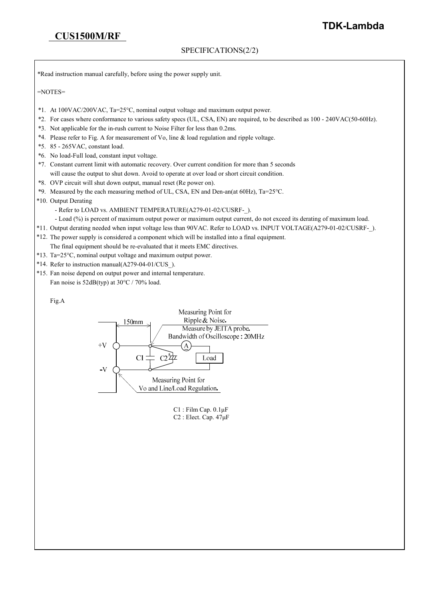### SPECIFICATIONS(2/2)

\*Read instruction manual carefully, before using the power supply unit.

 $=$ NOTES $=$ 

- \*1. At 100VAC/200VAC, Ta=25°C, nominal output voltage and maximum output power.
- \*2. For cases where conformance to various safety specs (UL, CSA, EN) are required, to be described as 100 240VAC(50-60Hz).
- \*3. Not applicable for the in-rush current to Noise Filter for less than 0.2ms.
- \*4. Please refer to Fig. A for measurement of Vo, line & load regulation and ripple voltage.
- \*5. 85 265VAC, constant load.
- \*6. No load-Full load, constant input voltage.
- \*7. Constant current limit with automatic recovery. Over current condition for more than 5 seconds will cause the output to shut down. Avoid to operate at over load or short circuit condition.
- \*8. OVP circuit will shut down output, manual reset (Re power on).
- \*9. Measured by the each measuring method of UL, CSA, EN and Den-an(at 60Hz), Ta=25°C.
- \*10. Output Derating
	- Refer to LOAD vs. AMBIENT TEMPERATURE(A279-01-02/CUSRF-).
	- Load (%) is percent of maximum output power or maximum output current, do not exceed its derating of maximum load.
- \*11. Output derating needed when input voltage less than 90VAC. Refer to LOAD vs. INPUT VOLTAGE(A279-01-02/CUSRF-\_).
- \*12. The power supply is considered a component which will be installed into a final equipment.
- The final equipment should be re-evaluated that it meets EMC directives.
- \*13. Ta=25°C, nominal output voltage and maximum output power.
- \*14. Refer to instruction manual(A279-04-01/CUS\_).
- \*15. Fan noise depend on output power and internal temperature. Fan noise is 52dB(typ) at 30°C / 70% load.

#### Fig.A



C1 : Film Cap. 0.1μF C2 : Elect. Cap. 47μF